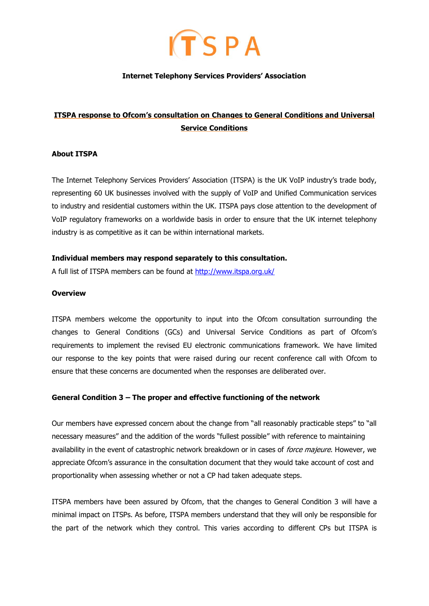

## **Internet Telephony Services Providers' Association**

# **ITSPA response to Ofcom's consultation on Changes to General Conditions and Universal Service Conditions**

## **About ITSPA**

The Internet Telephony Services Providers" Association (ITSPA) is the UK VoIP industry"s trade body, representing 60 UK businesses involved with the supply of VoIP and Unified Communication services to industry and residential customers within the UK. ITSPA pays close attention to the development of VoIP regulatory frameworks on a worldwide basis in order to ensure that the UK internet telephony industry is as competitive as it can be within international markets.

#### **Individual members may respond separately to this consultation.**

A full list of ITSPA members can be found at<http://www.itspa.org.uk/>

#### **Overview**

ITSPA members welcome the opportunity to input into the Ofcom consultation surrounding the changes to General Conditions (GCs) and Universal Service Conditions as part of Ofcom"s requirements to implement the revised EU electronic communications framework. We have limited our response to the key points that were raised during our recent conference call with Ofcom to ensure that these concerns are documented when the responses are deliberated over.

# **General Condition 3 – The proper and effective functioning of the network**

Our members have expressed concern about the change from "all reasonably practicable steps" to "all necessary measures" and the addition of the words "fullest possible" with reference to maintaining availability in the event of catastrophic network breakdown or in cases of force majeure. However, we appreciate Ofcom"s assurance in the consultation document that they would take account of cost and proportionality when assessing whether or not a CP had taken adequate steps.

ITSPA members have been assured by Ofcom, that the changes to General Condition 3 will have a minimal impact on ITSPs. As before, ITSPA members understand that they will only be responsible for the part of the network which they control. This varies according to different CPs but ITSPA is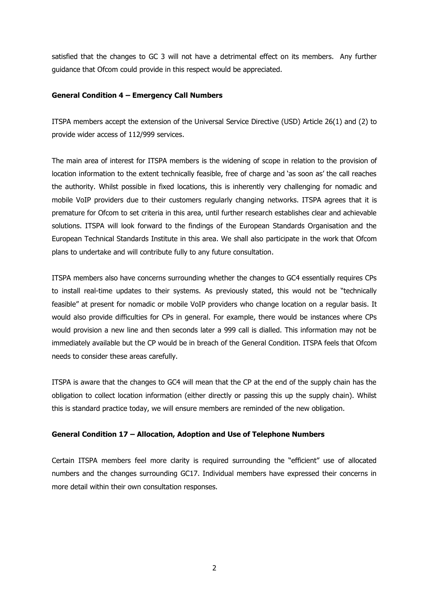satisfied that the changes to GC 3 will not have a detrimental effect on its members. Any further guidance that Ofcom could provide in this respect would be appreciated.

## **General Condition 4 – Emergency Call Numbers**

ITSPA members accept the extension of the Universal Service Directive (USD) Article 26(1) and (2) to provide wider access of 112/999 services.

The main area of interest for ITSPA members is the widening of scope in relation to the provision of location information to the extent technically feasible, free of charge and 'as soon as' the call reaches the authority. Whilst possible in fixed locations, this is inherently very challenging for nomadic and mobile VoIP providers due to their customers regularly changing networks. ITSPA agrees that it is premature for Ofcom to set criteria in this area, until further research establishes clear and achievable solutions. ITSPA will look forward to the findings of the European Standards Organisation and the European Technical Standards Institute in this area. We shall also participate in the work that Ofcom plans to undertake and will contribute fully to any future consultation.

ITSPA members also have concerns surrounding whether the changes to GC4 essentially requires CPs to install real-time updates to their systems. As previously stated, this would not be "technically feasible" at present for nomadic or mobile VoIP providers who change location on a regular basis. It would also provide difficulties for CPs in general. For example, there would be instances where CPs would provision a new line and then seconds later a 999 call is dialled. This information may not be immediately available but the CP would be in breach of the General Condition. ITSPA feels that Ofcom needs to consider these areas carefully.

ITSPA is aware that the changes to GC4 will mean that the CP at the end of the supply chain has the obligation to collect location information (either directly or passing this up the supply chain). Whilst this is standard practice today, we will ensure members are reminded of the new obligation.

# **General Condition 17 – Allocation, Adoption and Use of Telephone Numbers**

Certain ITSPA members feel more clarity is required surrounding the "efficient" use of allocated numbers and the changes surrounding GC17. Individual members have expressed their concerns in more detail within their own consultation responses.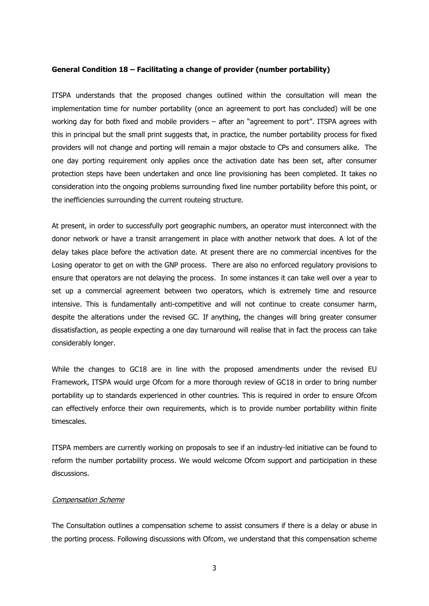#### **General Condition 18 – Facilitating a change of provider (number portability)**

ITSPA understands that the proposed changes outlined within the consultation will mean the implementation time for number portability (once an agreement to port has concluded) will be one working day for both fixed and mobile providers – after an "agreement to port". ITSPA agrees with this in principal but the small print suggests that, in practice, the number portability process for fixed providers will not change and porting will remain a major obstacle to CPs and consumers alike. The one day porting requirement only applies once the activation date has been set, after consumer protection steps have been undertaken and once line provisioning has been completed. It takes no consideration into the ongoing problems surrounding fixed line number portability before this point, or the inefficiencies surrounding the current routeing structure.

At present, in order to successfully port geographic numbers, an operator must interconnect with the donor network or have a transit arrangement in place with another network that does. A lot of the delay takes place before the activation date. At present there are no commercial incentives for the Losing operator to get on with the GNP process. There are also no enforced regulatory provisions to ensure that operators are not delaying the process. In some instances it can take well over a year to set up a commercial agreement between two operators, which is extremely time and resource intensive. This is fundamentally anti-competitive and will not continue to create consumer harm, despite the alterations under the revised GC. If anything, the changes will bring greater consumer dissatisfaction, as people expecting a one day turnaround will realise that in fact the process can take considerably longer.

While the changes to GC18 are in line with the proposed amendments under the revised EU Framework, ITSPA would urge Ofcom for a more thorough review of GC18 in order to bring number portability up to standards experienced in other countries. This is required in order to ensure Ofcom can effectively enforce their own requirements, which is to provide number portability within finite timescales.

ITSPA members are currently working on proposals to see if an industry-led initiative can be found to reform the number portability process. We would welcome Ofcom support and participation in these discussions.

#### Compensation Scheme

The Consultation outlines a compensation scheme to assist consumers if there is a delay or abuse in the porting process. Following discussions with Ofcom, we understand that this compensation scheme